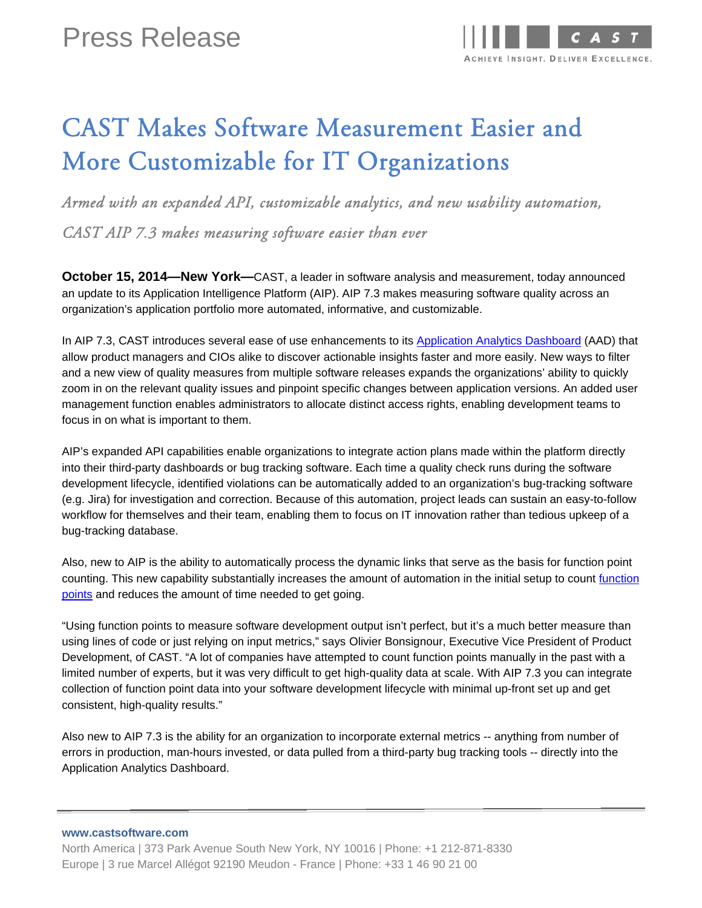

# CAST Makes Software Measurement Easier and More Customizable for IT Organizations

*Armed with an expanded API, customizable analytics, and new usability automation,* 

*CAST AIP 7.3 makes measuring software easier than ever* 

**October 15, 2014—New York—**CAST, a leader in software analysis and measurement, today announced an update to its Application Intelligence Platform (AIP). AIP 7.3 makes measuring software quality across an organization's application portfolio more automated, informative, and customizable.

In AIP 7.3, CAST introduces several ease of use enhancements to its Application Analytics Dashboard (AAD) that allow product managers and CIOs alike to discover actionable insights faster and more easily. New ways to filter and a new view of quality measures from multiple software releases expands the organizations' ability to quickly zoom in on the relevant quality issues and pinpoint specific changes between application versions. An added user management function enables administrators to allocate distinct access rights, enabling development teams to focus in on what is important to them.

AIP's expanded API capabilities enable organizations to integrate action plans made within the platform directly into their third-party dashboards or bug tracking software. Each time a quality check runs during the software development lifecycle, identified violations can be automatically added to an organization's bug-tracking software (e.g. Jira) for investigation and correction. Because of this automation, project leads can sustain an easy-to-follow workflow for themselves and their team, enabling them to focus on IT innovation rather than tedious upkeep of a bug-tracking database.

Also, new to AIP is the ability to automatically process the dynamic links that serve as the basis for function point counting. This new capability substantially increases the amount of automation in the initial setup to count function points and reduces the amount of time needed to get going.

"Using function points to measure software development output isn't perfect, but it's a much better measure than using lines of code or just relying on input metrics," says Olivier Bonsignour, Executive Vice President of Product Development, of CAST. "A lot of companies have attempted to count function points manually in the past with a limited number of experts, but it was very difficult to get high-quality data at scale. With AIP 7.3 you can integrate collection of function point data into your software development lifecycle with minimal up-front set up and get consistent, high-quality results."

Also new to AIP 7.3 is the ability for an organization to incorporate external metrics -- anything from number of errors in production, man-hours invested, or data pulled from a third-party bug tracking tools -- directly into the Application Analytics Dashboard.

**www.castsoftware.com** 

North America | 373 Park Avenue South New York, NY 10016 | Phone: +1 212-871-8330 Europe | 3 rue Marcel Allégot 92190 Meudon - France | Phone: +33 1 46 90 21 00